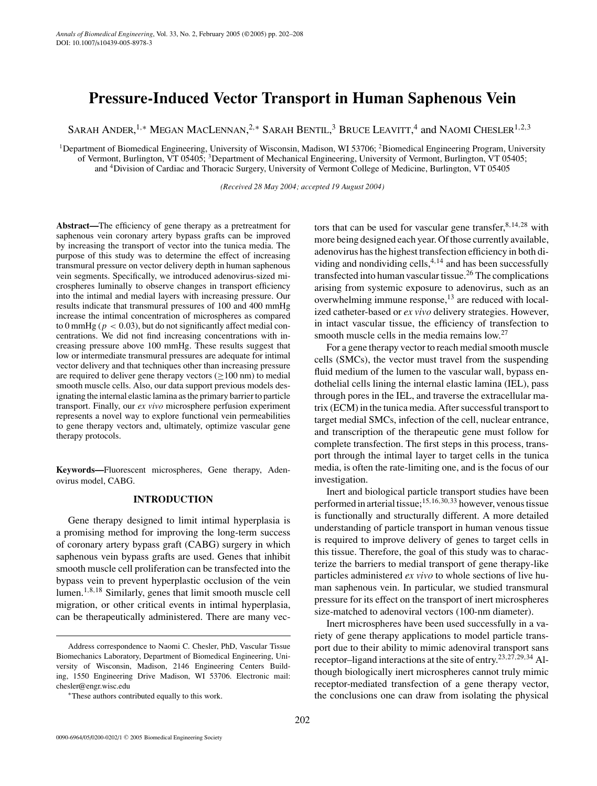# **Pressure-Induced Vector Transport in Human Saphenous Vein**

SARAH ANDER,<sup>1,∗</sup> Megan MacLennan,<sup>2,</sup>\* Sarah Bentil,<sup>3</sup> Bruce Leavitt,<sup>4</sup> and Naomi Chesler<sup>1,2,3</sup>

<sup>1</sup>Department of Biomedical Engineering, University of Wisconsin, Madison, WI 53706; <sup>2</sup>Biomedical Engineering Program, University of Vermont, Burlington, VT 05405; 3Department of Mechanical Engineering, University of Vermont, Burlington, VT 05405; and 4Division of Cardiac and Thoracic Surgery, University of Vermont College of Medicine, Burlington, VT 05405

*(Received 28 May 2004; accepted 19 August 2004)*

**Abstract—**The efficiency of gene therapy as a pretreatment for saphenous vein coronary artery bypass grafts can be improved by increasing the transport of vector into the tunica media. The purpose of this study was to determine the effect of increasing transmural pressure on vector delivery depth in human saphenous vein segments. Specifically, we introduced adenovirus-sized microspheres luminally to observe changes in transport efficiency into the intimal and medial layers with increasing pressure. Our results indicate that transmural pressures of 100 and 400 mmHg increase the intimal concentration of microspheres as compared to 0 mmHg ( $p < 0.03$ ), but do not significantly affect medial concentrations. We did not find increasing concentrations with increasing pressure above 100 mmHg. These results suggest that low or intermediate transmural pressures are adequate for intimal vector delivery and that techniques other than increasing pressure are required to deliver gene therapy vectors ( $\geq$ 100 nm) to medial smooth muscle cells. Also, our data support previous models designating the internal elastic lamina as the primary barrier to particle transport. Finally, our *ex vivo* microsphere perfusion experiment represents a novel way to explore functional vein permeabilities to gene therapy vectors and, ultimately, optimize vascular gene therapy protocols.

**Keywords—**Fluorescent microspheres, Gene therapy, Adenovirus model, CABG.

# **INTRODUCTION**

Gene therapy designed to limit intimal hyperplasia is a promising method for improving the long-term success of coronary artery bypass graft (CABG) surgery in which saphenous vein bypass grafts are used. Genes that inhibit smooth muscle cell proliferation can be transfected into the bypass vein to prevent hyperplastic occlusion of the vein lumen.<sup>1,8,18</sup> Similarly, genes that limit smooth muscle cell migration, or other critical events in intimal hyperplasia, can be therapeutically administered. There are many vectors that can be used for vascular gene transfer,  $8,14,28$  with more being designed each year. Of those currently available, adenovirus has the highest transfection efficiency in both dividing and nondividing cells,  $4,14$  and has been successfully transfected into human vascular tissue.<sup>26</sup> The complications arising from systemic exposure to adenovirus, such as an overwhelming immune response, $^{13}$  are reduced with localized catheter-based or *ex vivo* delivery strategies. However, in intact vascular tissue, the efficiency of transfection to smooth muscle cells in the media remains low.<sup>27</sup>

For a gene therapy vector to reach medial smooth muscle cells (SMCs), the vector must travel from the suspending fluid medium of the lumen to the vascular wall, bypass endothelial cells lining the internal elastic lamina (IEL), pass through pores in the IEL, and traverse the extracellular matrix (ECM) in the tunica media. After successful transport to target medial SMCs, infection of the cell, nuclear entrance, and transcription of the therapeutic gene must follow for complete transfection. The first steps in this process, transport through the intimal layer to target cells in the tunica media, is often the rate-limiting one, and is the focus of our investigation.

Inert and biological particle transport studies have been performed in arterial tissue;  $15,16,30,33$  however, venous tissue is functionally and structurally different. A more detailed understanding of particle transport in human venous tissue is required to improve delivery of genes to target cells in this tissue. Therefore, the goal of this study was to characterize the barriers to medial transport of gene therapy-like particles administered *ex vivo* to whole sections of live human saphenous vein. In particular, we studied transmural pressure for its effect on the transport of inert microspheres size-matched to adenoviral vectors (100-nm diameter).

Inert microspheres have been used successfully in a variety of gene therapy applications to model particle transport due to their ability to mimic adenoviral transport sans receptor–ligand interactions at the site of entry.23,27,29,<sup>34</sup> Although biologically inert microspheres cannot truly mimic receptor-mediated transfection of a gene therapy vector, the conclusions one can draw from isolating the physical

Address correspondence to Naomi C. Chesler, PhD, Vascular Tissue Biomechanics Laboratory, Department of Biomedical Engineering, University of Wisconsin, Madison, 2146 Engineering Centers Building, 1550 Engineering Drive Madison, WI 53706. Electronic mail: chesler@engr.wisc.edu

<sup>∗</sup>These authors contributed equally to this work.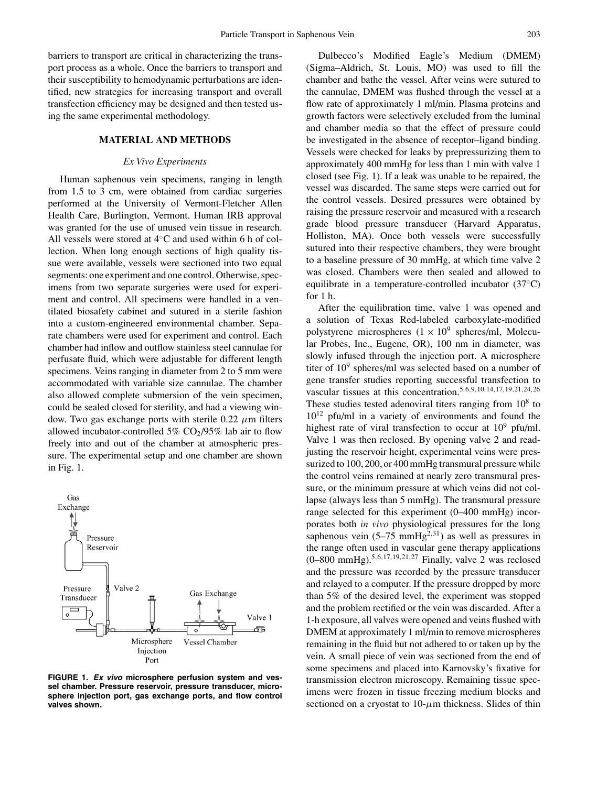barriers to transport are critical in characterizing the transport process as a whole. Once the barriers to transport and their susceptibility to hemodynamic perturbations are identified, new strategies for increasing transport and overall transfection efficiency may be designed and then tested using the same experimental methodology.

# **MATERIAL AND METHODS**

## *Ex Vivo Experiments*

Human saphenous vein specimens, ranging in length from 1.5 to 3 cm, were obtained from cardiac surgeries performed at the University of Vermont-Fletcher Allen Health Care, Burlington, Vermont. Human IRB approval was granted for the use of unused vein tissue in research. All vessels were stored at 4◦C and used within 6 h of collection. When long enough sections of high quality tissue were available, vessels were sectioned into two equal segments: one experiment and one control. Otherwise, specimens from two separate surgeries were used for experiment and control. All specimens were handled in a ventilated biosafety cabinet and sutured in a sterile fashion into a custom-engineered environmental chamber. Separate chambers were used for experiment and control. Each chamber had inflow and outflow stainless steel cannulae for perfusate fluid, which were adjustable for different length specimens. Veins ranging in diameter from 2 to 5 mm were accommodated with variable size cannulae. The chamber also allowed complete submersion of the vein specimen, could be sealed closed for sterility, and had a viewing window. Two gas exchange ports with sterile 0.22  $\mu$ m filters allowed incubator-controlled 5%  $CO<sub>2</sub>/95%$  lab air to flow freely into and out of the chamber at atmospheric pressure. The experimental setup and one chamber are shown in Fig. 1.



**FIGURE 1.** *Ex vivo* **microsphere perfusion system and vessel chamber. Pressure reservoir, pressure transducer, microsphere injection port, gas exchange ports, and flow control valves shown.**

Dulbecco's Modified Eagle's Medium (DMEM) (Sigma–Aldrich, St. Louis, MO) was used to fill the chamber and bathe the vessel. After veins were sutured to the cannulae, DMEM was flushed through the vessel at a flow rate of approximately 1 ml/min. Plasma proteins and growth factors were selectively excluded from the luminal and chamber media so that the effect of pressure could be investigated in the absence of receptor–ligand binding. Vessels were checked for leaks by prepressurizing them to approximately 400 mmHg for less than 1 min with valve 1 closed (see Fig. 1). If a leak was unable to be repaired, the vessel was discarded. The same steps were carried out for the control vessels. Desired pressures were obtained by raising the pressure reservoir and measured with a research grade blood pressure transducer (Harvard Apparatus, Holliston, MA). Once both vessels were successfully sutured into their respective chambers, they were brought to a baseline pressure of 30 mmHg, at which time valve 2 was closed. Chambers were then sealed and allowed to equilibrate in a temperature-controlled incubator (37◦C) for 1 h.

After the equilibration time, valve 1 was opened and a solution of Texas Red-labeled carboxylate-modified polystyrene microspheres  $(1 \times 10^9$  spheres/ml, Molecular Probes, Inc., Eugene, OR), 100 nm in diameter, was slowly infused through the injection port. A microsphere titer of  $10^9$  spheres/ml was selected based on a number of gene transfer studies reporting successful transfection to vascular tissues at this concentration.<sup>5</sup>,6,9,10,14,17,19,21,24,<sup>26</sup> These studies tested adenoviral titers ranging from  $10^8$  to  $10^{12}$  pfu/ml in a variety of environments and found the highest rate of viral transfection to occur at  $10^9$  pfu/ml. Valve 1 was then reclosed. By opening valve 2 and readjusting the reservoir height, experimental veins were pressurized to 100, 200, or 400 mmHg transmural pressure while the control veins remained at nearly zero transmural pressure, or the minimum pressure at which veins did not collapse (always less than 5 mmHg). The transmural pressure range selected for this experiment (0–400 mmHg) incorporates both *in vivo* physiological pressures for the long saphenous vein  $(5-75 \text{ mmHg}^{2,31})$  as well as pressures in the range often used in vascular gene therapy applications  $(0-800 \text{ mmHg})^{5,6,17,19,21,27}$  Finally, valve 2 was reclosed and the pressure was recorded by the pressure transducer and relayed to a computer. If the pressure dropped by more than 5% of the desired level, the experiment was stopped and the problem rectified or the vein was discarded. After a 1-h exposure, all valves were opened and veins flushed with DMEM at approximately 1 ml/min to remove microspheres remaining in the fluid but not adhered to or taken up by the vein. A small piece of vein was sectioned from the end of some specimens and placed into Karnovsky's fixative for transmission electron microscopy. Remaining tissue specimens were frozen in tissue freezing medium blocks and sectioned on a cryostat to  $10$ - $\mu$ m thickness. Slides of thin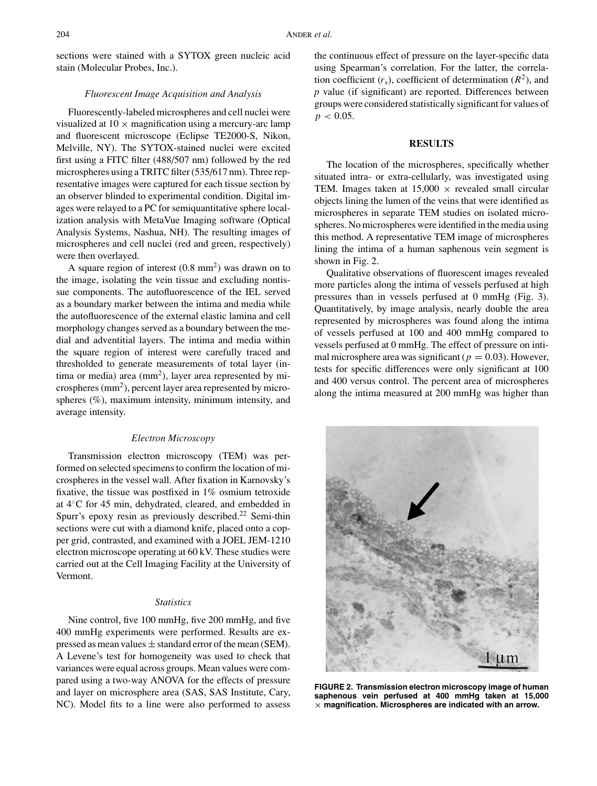sections were stained with a SYTOX green nucleic acid stain (Molecular Probes, Inc.).

## *Fluorescent Image Acquisition and Analysis*

Fluorescently-labeled microspheres and cell nuclei were visualized at  $10 \times$  magnification using a mercury-arc lamp and fluorescent microscope (Eclipse TE2000-S, Nikon, Melville, NY). The SYTOX-stained nuclei were excited first using a FITC filter (488/507 nm) followed by the red microspheres using a TRITC filter (535/617 nm). Three representative images were captured for each tissue section by an observer blinded to experimental condition. Digital images were relayed to a PC for semiquantitative sphere localization analysis with MetaVue Imaging software (Optical Analysis Systems, Nashua, NH). The resulting images of microspheres and cell nuclei (red and green, respectively) were then overlayed.

A square region of interest  $(0.8 \text{ mm}^2)$  was drawn on to the image, isolating the vein tissue and excluding nontissue components. The autofluorescence of the IEL served as a boundary marker between the intima and media while the autofluorescence of the external elastic lamina and cell morphology changes served as a boundary between the medial and adventitial layers. The intima and media within the square region of interest were carefully traced and thresholded to generate measurements of total layer (intima or media) area  $(mm<sup>2</sup>)$ , layer area represented by microspheres  $\text{mm}^2$ ), percent layer area represented by microspheres (%), maximum intensity, minimum intensity, and average intensity.

## *Electron Microscopy*

Transmission electron microscopy (TEM) was performed on selected specimens to confirm the location of microspheres in the vessel wall. After fixation in Karnovsky's fixative, the tissue was postfixed in 1% osmium tetroxide at 4◦C for 45 min, dehydrated, cleared, and embedded in Spurr's epoxy resin as previously described.<sup>22</sup> Semi-thin sections were cut with a diamond knife, placed onto a copper grid, contrasted, and examined with a JOEL JEM-1210 electron microscope operating at 60 kV. These studies were carried out at the Cell Imaging Facility at the University of Vermont.

#### *Statistics*

Nine control, five 100 mmHg, five 200 mmHg, and five 400 mmHg experiments were performed. Results are expressed as mean values  $\pm$  standard error of the mean (SEM). A Levene's test for homogeneity was used to check that variances were equal across groups. Mean values were compared using a two-way ANOVA for the effects of pressure and layer on microsphere area (SAS, SAS Institute, Cary, NC). Model fits to a line were also performed to assess the continuous effect of pressure on the layer-specific data using Spearman's correlation. For the latter, the correlation coefficient  $(r_s)$ , coefficient of determination  $(R^2)$ , and *p* value (if significant) are reported. Differences between groups were considered statistically significant for values of  $p < 0.05$ .

## **RESULTS**

The location of the microspheres, specifically whether situated intra- or extra-cellularly, was investigated using TEM. Images taken at  $15,000 \times$  revealed small circular objects lining the lumen of the veins that were identified as microspheres in separate TEM studies on isolated microspheres. No microspheres were identified in the media using this method. A representative TEM image of microspheres lining the intima of a human saphenous vein segment is shown in Fig. 2.

Qualitative observations of fluorescent images revealed more particles along the intima of vessels perfused at high pressures than in vessels perfused at 0 mmHg (Fig. 3). Quantitatively, by image analysis, nearly double the area represented by microspheres was found along the intima of vessels perfused at 100 and 400 mmHg compared to vessels perfused at 0 mmHg. The effect of pressure on intimal microsphere area was significant ( $p = 0.03$ ). However, tests for specific differences were only significant at 100 and 400 versus control. The percent area of microspheres along the intima measured at 200 mmHg was higher than



**FIGURE 2. Transmission electron microscopy image of human saphenous vein perfused at 400 mmHg taken at 15,000** *×* **magnification. Microspheres are indicated with an arrow.**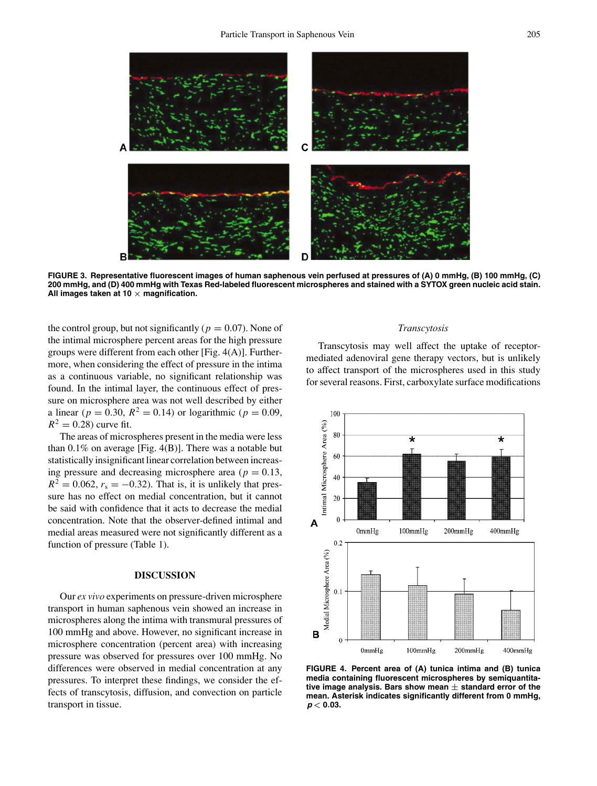

**FIGURE 3. Representative fluorescent images of human saphenous vein perfused at pressures of (A) 0 mmHg, (B) 100 mmHg, (C) 200 mmHg, and (D) 400 mmHg with Texas Red-labeled fluorescent microspheres and stained with a SYTOX green nucleic acid stain. All images taken at 10** *×* **magnification.**

the control group, but not significantly ( $p = 0.07$ ). None of the intimal microsphere percent areas for the high pressure groups were different from each other [Fig. 4(A)]. Furthermore, when considering the effect of pressure in the intima as a continuous variable, no significant relationship was found. In the intimal layer, the continuous effect of pressure on microsphere area was not well described by either a linear ( $p = 0.30$ ,  $R^2 = 0.14$ ) or logarithmic ( $p = 0.09$ ,  $R^2 = 0.28$  curve fit.

The areas of microspheres present in the media were less than  $0.1\%$  on average [Fig. 4(B)]. There was a notable but statistically insignificant linear correlation between increasing pressure and decreasing microsphere area ( $p = 0.13$ ,  $R^2 = 0.062$ ,  $r_s = -0.32$ ). That is, it is unlikely that pressure has no effect on medial concentration, but it cannot be said with confidence that it acts to decrease the medial concentration. Note that the observer-defined intimal and medial areas measured were not significantly different as a function of pressure (Table 1).

# **DISCUSSION**

Our *ex vivo* experiments on pressure-driven microsphere transport in human saphenous vein showed an increase in microspheres along the intima with transmural pressures of 100 mmHg and above. However, no significant increase in microsphere concentration (percent area) with increasing pressure was observed for pressures over 100 mmHg. No differences were observed in medial concentration at any pressures. To interpret these findings, we consider the effects of transcytosis, diffusion, and convection on particle transport in tissue.

# *Transcytosis*

Transcytosis may well affect the uptake of receptormediated adenoviral gene therapy vectors, but is unlikely to affect transport of the microspheres used in this study for several reasons. First, carboxylate surface modifications



**FIGURE 4. Percent area of (A) tunica intima and (B) tunica media containing fluorescent microspheres by semiquantitative image analysis. Bars show mean** *±* **standard error of the mean. Asterisk indicates significantly different from 0 mmHg,** *p <* **0***.***03.**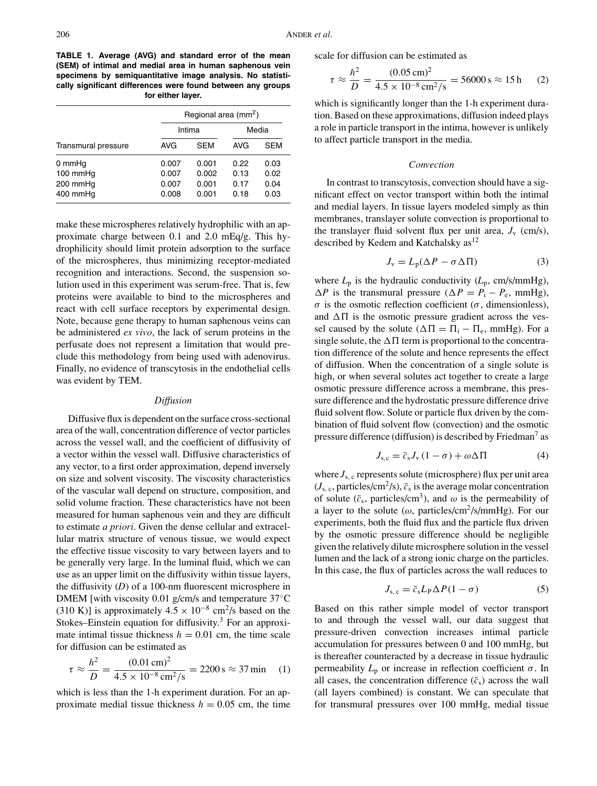**TABLE 1. Average (AVG) and standard error of the mean (SEM) of intimal and medial area in human saphenous vein specimens by semiquantitative image analysis. No statistically significant differences were found between any groups for either layer.**

|                                            | Regional area (mm <sup>2</sup> ) |                                  |                              |                              |
|--------------------------------------------|----------------------------------|----------------------------------|------------------------------|------------------------------|
|                                            | Intima                           |                                  | Media                        |                              |
| Transmural pressure                        | <b>AVG</b>                       | <b>SEM</b>                       | AVG                          | SEM                          |
| 0 mmHq<br>100 mmHq<br>200 mmHq<br>400 mmHq | 0.007<br>0.007<br>0.007<br>0.008 | 0.001<br>0.002<br>0.001<br>0.001 | 0.22<br>0.13<br>0.17<br>0.18 | 0.03<br>0.02<br>0.04<br>0.03 |

make these microspheres relatively hydrophilic with an approximate charge between 0.1 and 2.0 mEq/g. This hydrophilicity should limit protein adsorption to the surface of the microspheres, thus minimizing receptor-mediated recognition and interactions. Second, the suspension solution used in this experiment was serum-free. That is, few proteins were available to bind to the microspheres and react with cell surface receptors by experimental design. Note, because gene therapy to human saphenous veins can be administered *ex vivo*, the lack of serum proteins in the perfusate does not represent a limitation that would preclude this methodology from being used with adenovirus. Finally, no evidence of transcytosis in the endothelial cells was evident by TEM.

### *Diffusion*

Diffusive flux is dependent on the surface cross-sectional area of the wall, concentration difference of vector particles across the vessel wall, and the coefficient of diffusivity of a vector within the vessel wall. Diffusive characteristics of any vector, to a first order approximation, depend inversely on size and solvent viscosity. The viscosity characteristics of the vascular wall depend on structure, composition, and solid volume fraction. These characteristics have not been measured for human saphenous vein and they are difficult to estimate *a priori*. Given the dense cellular and extracellular matrix structure of venous tissue, we would expect the effective tissue viscosity to vary between layers and to be generally very large. In the luminal fluid, which we can use as an upper limit on the diffusivity within tissue layers, the diffusivity (*D*) of a 100-nm fluorescent microsphere in DMEM [with viscosity 0.01 g/cm/s and temperature 37◦C (310 K)] is approximately  $4.5 \times 10^{-8}$  cm<sup>2</sup>/s based on the Stokes–Einstein equation for diffusivity. $3$  For an approximate intimal tissue thickness  $h = 0.01$  cm, the time scale for diffusion can be estimated as

$$
\tau \approx \frac{h^2}{D} = \frac{(0.01 \text{ cm})^2}{4.5 \times 10^{-8} \text{ cm}^2/\text{s}} = 2200 \text{ s} \approx 37 \text{ min} \quad (1)
$$

which is less than the 1-h experiment duration. For an approximate medial tissue thickness  $h = 0.05$  cm, the time scale for diffusion can be estimated as

$$
\tau \approx \frac{h^2}{D} = \frac{(0.05 \,\text{cm})^2}{4.5 \times 10^{-8} \,\text{cm}^2/\text{s}} = 56000 \,\text{s} \approx 15 \,\text{h} \tag{2}
$$

which is significantly longer than the 1-h experiment duration. Based on these approximations, diffusion indeed plays a role in particle transport in the intima, however is unlikely to affect particle transport in the media.

## *Convection*

In contrast to transcytosis, convection should have a significant effect on vector transport within both the intimal and medial layers. In tissue layers modeled simply as thin membranes, translayer solute convection is proportional to the translayer fluid solvent flux per unit area,  $J_v$  (cm/s), described by Kedem and Katchalsky as<sup>12</sup>

$$
J_{\rm v} = L_{\rm p}(\Delta P - \sigma \Delta \Pi) \tag{3}
$$

where  $L_p$  is the hydraulic conductivity  $(L_p, \text{cm/s/mmHg})$ ,  $\Delta P$  is the transmural pressure ( $\Delta P = P_i - P_e$ , mmHg), σ is the osmotic reflection coefficient (σ, dimensionless), and  $\Delta \Pi$  is the osmotic pressure gradient across the vessel caused by the solute ( $\Delta \Pi = \Pi_i - \Pi_e$ , mmHg). For a single solute, the  $\Delta \Pi$  term is proportional to the concentration difference of the solute and hence represents the effect of diffusion. When the concentration of a single solute is high, or when several solutes act together to create a large osmotic pressure difference across a membrane, this pressure difference and the hydrostatic pressure difference drive fluid solvent flow. Solute or particle flux driven by the combination of fluid solvent flow (convection) and the osmotic pressure difference (diffusion) is described by Friedman<sup>7</sup> as

$$
J_{\rm s,c} = \bar{c}_{\rm s} J_{\rm v} (1 - \sigma) + \omega \Delta \Pi \tag{4}
$$

where  $J_{s,c}$  represents solute (microsphere) flux per unit area  $(J_{s,c},$  particles/cm<sup>2</sup>/s),  $\bar{c}_s$  is the average molar concentration of solute ( $\bar{c}_s$ , particles/cm<sup>3</sup>), and  $\omega$  is the permeability of a layer to the solute ( $\omega$ , particles/cm<sup>2</sup>/s/mmHg). For our experiments, both the fluid flux and the particle flux driven by the osmotic pressure difference should be negligible given the relatively dilute microsphere solution in the vessel lumen and the lack of a strong ionic charge on the particles. In this case, the flux of particles across the wall reduces to

$$
J_{\rm s, c} = \bar{c}_{\rm s} L_{\rm P} \Delta P (1 - \sigma) \tag{5}
$$

Based on this rather simple model of vector transport to and through the vessel wall, our data suggest that pressure-driven convection increases intimal particle accumulation for pressures between 0 and 100 mmHg, but is thereafter counteracted by a decrease in tissue hydraulic permeability  $L_p$  or increase in reflection coefficient  $\sigma$ . In all cases, the concentration difference  $(\bar{c}_s)$  across the wall (all layers combined) is constant. We can speculate that for transmural pressures over 100 mmHg, medial tissue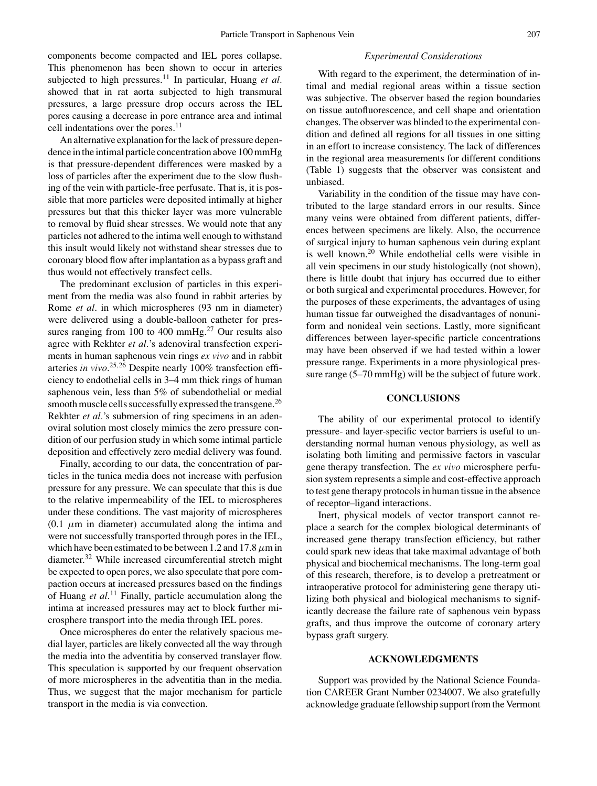components become compacted and IEL pores collapse. This phenomenon has been shown to occur in arteries subjected to high pressures.<sup>11</sup> In particular, Huang et al. showed that in rat aorta subjected to high transmural pressures, a large pressure drop occurs across the IEL pores causing a decrease in pore entrance area and intimal cell indentations over the pores.<sup>11</sup>

An alternative explanation for the lack of pressure dependence in the intimal particle concentration above 100 mmHg is that pressure-dependent differences were masked by a loss of particles after the experiment due to the slow flushing of the vein with particle-free perfusate. That is, it is possible that more particles were deposited intimally at higher pressures but that this thicker layer was more vulnerable to removal by fluid shear stresses. We would note that any particles not adhered to the intima well enough to withstand this insult would likely not withstand shear stresses due to coronary blood flow after implantation as a bypass graft and thus would not effectively transfect cells.

The predominant exclusion of particles in this experiment from the media was also found in rabbit arteries by Rome *et al*. in which microspheres (93 nm in diameter) were delivered using a double-balloon catheter for pressures ranging from 100 to 400 mmHg. $^{27}$  Our results also agree with Rekhter *et al.*'s adenoviral transfection experiments in human saphenous vein rings *ex vivo* and in rabbit arteries *in vivo*. <sup>25</sup>,<sup>26</sup> Despite nearly 100% transfection efficiency to endothelial cells in 3–4 mm thick rings of human saphenous vein, less than 5% of subendothelial or medial smooth muscle cells successfully expressed the transgene.<sup>26</sup> Rekhter *et al.*'s submersion of ring specimens in an adenoviral solution most closely mimics the zero pressure condition of our perfusion study in which some intimal particle deposition and effectively zero medial delivery was found.

Finally, according to our data, the concentration of particles in the tunica media does not increase with perfusion pressure for any pressure. We can speculate that this is due to the relative impermeability of the IEL to microspheres under these conditions. The vast majority of microspheres  $(0.1 \mu m)$  in diameter) accumulated along the intima and were not successfully transported through pores in the IEL, which have been estimated to be between 1.2 and 17.8  $\mu$ m in diameter.<sup>32</sup> While increased circumferential stretch might be expected to open pores, we also speculate that pore compaction occurs at increased pressures based on the findings of Huang *et al*. <sup>11</sup> Finally, particle accumulation along the intima at increased pressures may act to block further microsphere transport into the media through IEL pores.

Once microspheres do enter the relatively spacious medial layer, particles are likely convected all the way through the media into the adventitia by conserved translayer flow. This speculation is supported by our frequent observation of more microspheres in the adventitia than in the media. Thus, we suggest that the major mechanism for particle transport in the media is via convection.

#### *Experimental Considerations*

With regard to the experiment, the determination of intimal and medial regional areas within a tissue section was subjective. The observer based the region boundaries on tissue autofluorescence, and cell shape and orientation changes. The observer was blinded to the experimental condition and defined all regions for all tissues in one sitting in an effort to increase consistency. The lack of differences in the regional area measurements for different conditions (Table 1) suggests that the observer was consistent and unbiased.

Variability in the condition of the tissue may have contributed to the large standard errors in our results. Since many veins were obtained from different patients, differences between specimens are likely. Also, the occurrence of surgical injury to human saphenous vein during explant is well known.<sup>20</sup> While endothelial cells were visible in all vein specimens in our study histologically (not shown), there is little doubt that injury has occurred due to either or both surgical and experimental procedures. However, for the purposes of these experiments, the advantages of using human tissue far outweighed the disadvantages of nonuniform and nonideal vein sections. Lastly, more significant differences between layer-specific particle concentrations may have been observed if we had tested within a lower pressure range. Experiments in a more physiological pressure range (5–70 mmHg) will be the subject of future work.

## **CONCLUSIONS**

The ability of our experimental protocol to identify pressure- and layer-specific vector barriers is useful to understanding normal human venous physiology, as well as isolating both limiting and permissive factors in vascular gene therapy transfection. The *ex vivo* microsphere perfusion system represents a simple and cost-effective approach to test gene therapy protocols in human tissue in the absence of receptor–ligand interactions.

Inert, physical models of vector transport cannot replace a search for the complex biological determinants of increased gene therapy transfection efficiency, but rather could spark new ideas that take maximal advantage of both physical and biochemical mechanisms. The long-term goal of this research, therefore, is to develop a pretreatment or intraoperative protocol for administering gene therapy utilizing both physical and biological mechanisms to significantly decrease the failure rate of saphenous vein bypass grafts, and thus improve the outcome of coronary artery bypass graft surgery.

# **ACKNOWLEDGMENTS**

Support was provided by the National Science Foundation CAREER Grant Number 0234007. We also gratefully acknowledge graduate fellowship support from the Vermont